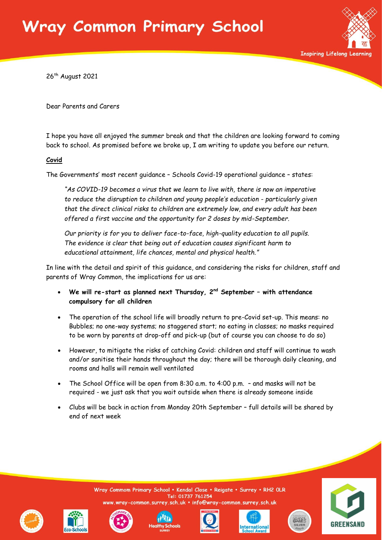### Vray Common Primary School



26<sup>th</sup> August 2021

Dear Parents and Carers

I hope you have all enjoyed the summer break and that the children are looking forward to coming back to school. As promised before we broke up, I am writing to update you before our return.

#### **Covid**

The Governments' most recent guidance – Schools Covid-19 operational guidance – states:

*"As COVID-19 becomes a virus that we learn to live with, there is now an imperative to reduce the disruption to children and young people's education - particularly given that the direct clinical risks to children are extremely low, and every adult has been offered a first vaccine and the opportunity for 2 doses by mid-September.*

*Our priority is for you to deliver face-to-face, high-quality education to all pupils. The evidence is clear that being out of education causes significant harm to educational attainment, life chances, mental and physical health."*

In line with the detail and spirit of this guidance, and considering the risks for children, staff and parents of Wray Common, the implications for us are:

- **We will re-start as planned next Thursday, 2nd September – with attendance compulsory for all children**
- The operation of the school life will broadly return to pre-Covid set-up. This means: no Bubbles; no one-way systems; no staggered start; no eating in classes; no masks required to be worn by parents at drop-off and pick-up (but of course you can choose to do so)
- However, to mitigate the risks of catching Covid: children and staff will continue to wash and/or sanitise their hands throughout the day; there will be thorough daily cleaning, and rooms and halls will remain well ventilated
- The School Office will be open from 8:30 a.m. to 4:00 p.m. and masks will not be required - we just ask that you wait outside when there is already someone inside
- Clubs will be back in action from Monday 20th September full details will be shared by end of next week

common.surrey.sch.uk · info@wray common.surrey.sch.uk

Wray Commom Primary School . Kendal Close . Reigate . Surrey . RH2 OLR





Tel: 01737 761254







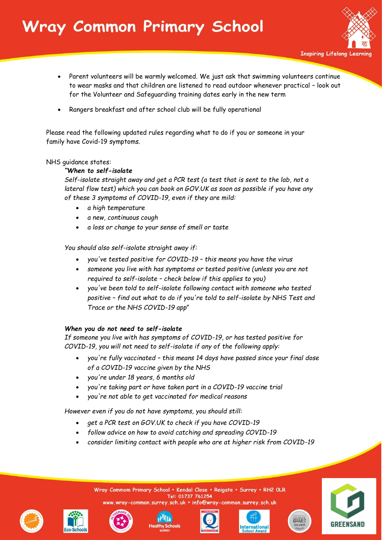# Vray Common Primary School



**Inspiring Lifelong Learning** 

- Parent volunteers will be warmly welcomed. We just ask that swimming volunteers continue to wear masks and that children are listened to read outdoor whenever practical – look out for the Volunteer and Safeguarding training dates early in the new term
- Rangers breakfast and after school club will be fully operational

Please read the following updated rules regarding what to do if you or someone in your family have Covid-19 symptoms.

#### NHS guidance states:

### *"When to self-isolate*

*Self-isolate straight away and get a PCR test (a test that is sent to the lab, not a lateral flow test) which you can book on GOV.UK as soon as possible if you have any of these 3 symptoms of COVID-19, even if they are mild:*

- *a high temperature*
- *a new, continuous cough*
- *a loss or change to your sense of smell or taste*

*You should also self-isolate straight away if:*

- *you've tested positive for COVID-19 – this means you have the virus*
- *someone you live with has symptoms or tested positive (unless you are not required to self-isolate – check below if this applies to you)*
- *you've been told to self-isolate following contact with someone who tested positive – find out what to do if you're told to self-isolate by NHS Test and Trace or the NHS COVID-19 app*"

### *When you do not need to self-isolate*

*If someone you live with has symptoms of COVID-19, or has tested positive for COVID-19, you will not need to self-isolate if any of the following apply:*

- *you're fully vaccinated – this means 14 days have passed since your final dose of a COVID-19 vaccine given by the NHS*
- *you're under 18 years, 6 months old*
- *you're taking part or have taken part in a COVID-19 vaccine trial*
- *you're not able to get vaccinated for medical reasons*

*However even if you do not have symptoms, you should still:*

- *get a PCR test on GOV.UK to check if you have COVID-19*
- *follow advice on how to avoid catching and spreading COVID-19*
- *consider limiting contact with people who are at higher risk from COVID-19*





![](_page_1_Picture_28.jpeg)

![](_page_1_Picture_29.jpeg)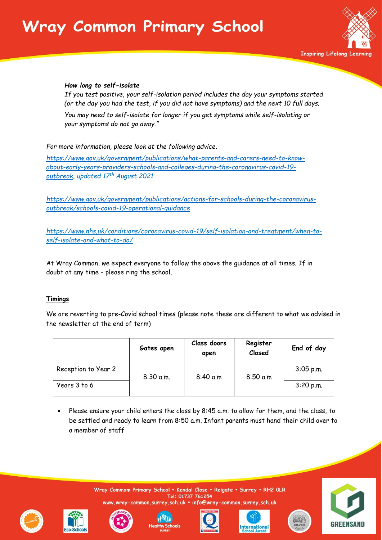# **Nray Common Primary School**

![](_page_2_Picture_1.jpeg)

#### *How long to self-isolate*

*If you test positive, your self-isolation period includes the day your symptoms started (or the day you had the test, if you did not have symptoms) and the next 10 full days. You may need to self-isolate for longer if you get symptoms while self-isolating or your symptoms do not go away."*

*For more information, please look at the following advice.*

*[https://www.gov.uk/government/publications/what-parents-and-carers-need-to-know](https://www.gov.uk/government/publications/what-parents-and-carers-need-to-know-about-early-years-providers-schools-and-colleges-during-the-coronavirus-covid-19-outbreak)[about-early-years-providers-schools-and-colleges-during-the-coronavirus-covid-19](https://www.gov.uk/government/publications/what-parents-and-carers-need-to-know-about-early-years-providers-schools-and-colleges-during-the-coronavirus-covid-19-outbreak) [outbreak,](https://www.gov.uk/government/publications/what-parents-and-carers-need-to-know-about-early-years-providers-schools-and-colleges-during-the-coronavirus-covid-19-outbreak) updated 17th August 2021*

*[https://www.gov.uk/government/publications/actions-for-schools-during-the-coronavirus](https://www.gov.uk/government/publications/actions-for-schools-during-the-coronavirus-outbreak/schools-covid-19-operational-guidance)[outbreak/schools-covid-19-operational-guidance](https://www.gov.uk/government/publications/actions-for-schools-during-the-coronavirus-outbreak/schools-covid-19-operational-guidance)*

*https://www.nhs.uk/conditions/coronavirus-covid-19/self-isolation-and-treatment/when-toself-isolate-and-what-to-do/*

At Wray Common, we expect everyone to follow the above the guidance at all times. If in doubt at any time – please ring the school.

#### **Timings**

We are reverting to pre-Covid school times (please note these are different to what we advised in the newsletter at the end of term)

|                     | Gates open  | Class doors<br>open | Register<br>Closed | End of day  |
|---------------------|-------------|---------------------|--------------------|-------------|
| Reception to Year 2 | $8:30$ a.m. | 8:40 a.m            | 8:50 a.m           | $3:05$ p.m. |
| Years 3 to 6        |             |                     |                    | 3:20 p.m.   |

 Please ensure your child enters the class by 8:45 a.m. to allow for them, and the class, to be settled and ready to learn from 8:50 a.m. Infant parents must hand their child over to a member of staff

![](_page_2_Picture_13.jpeg)